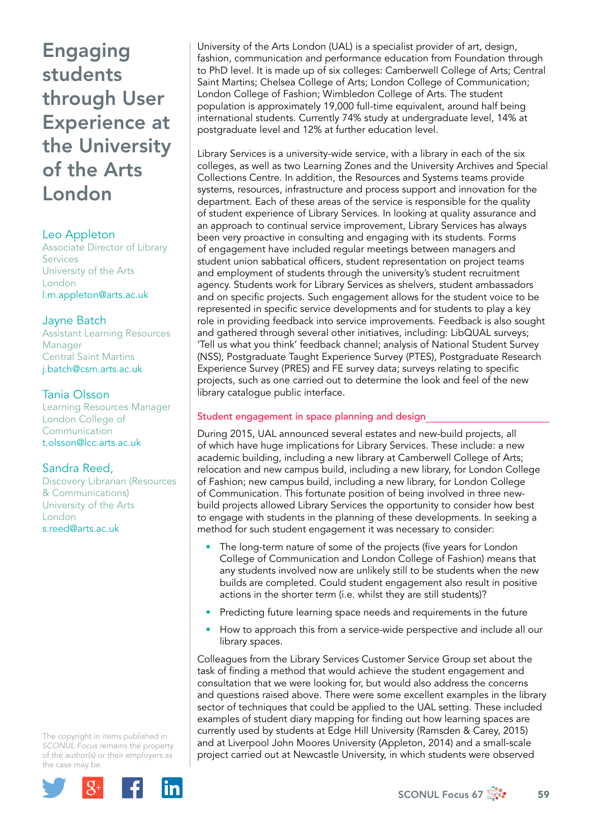# Leo Appleton

Associate Director of Library Services University of the Arts London [l.m.appleton@arts.ac.uk](mailto:l.m.appleton@arts.ac.uk)

# Jayne Batch

Assistant Learning Resources Manager Central Saint Martins [j.batch@csm.arts.ac.uk](mailto:j.batch@csm.arts.ac.uk)

# Tania Olsson

Learning Resources Manager London College of Communication [t.olsson@lcc.arts.ac.uk](mailto:t.olsson@lcc.arts.ac.uk)

# Sandra Reed,

Discovery Librarian (Resources & Communications) University of the Arts London [s.reed@arts.ac.uk](mailto:s.reed@arts.ac.uk)

The copyright in items published in *SCONUL Focus* remains the property of the author(s) or their employers as the case may be.



University of the Arts London (UAL) is a specialist provider of art, design, fashion, communication and performance education from Foundation through to PhD level. It is made up of six colleges: Camberwell College of Arts; Central Saint Martins; Chelsea College of Arts; London College of Communication; London College of Fashion; Wimbledon College of Arts. The student population is approximately 19,000 full-time equivalent, around half being international students. Currently 74% study at undergraduate level, 14% at postgraduate level and 12% at further education level.

Library Services is a university-wide service, with a library in each of the six colleges, as well as two Learning Zones and the University Archives and Special Collections Centre. In addition, the Resources and Systems teams provide systems, resources, infrastructure and process support and innovation for the department. Each of these areas of the service is responsible for the quality of student experience of Library Services. In looking at quality assurance and an approach to continual service improvement, Library Services has always been very proactive in consulting and engaging with its students. Forms of engagement have included regular meetings between managers and student union sabbatical officers, student representation on project teams and employment of students through the university's student recruitment agency. Students work for Library Services as shelvers, student ambassadors and on specific projects. Such engagement allows for the student voice to be represented in specific service developments and for students to play a key role in providing feedback into service improvements. Feedback is also sought and gathered through several other initiatives, including: LibQUAL surveys; 'Tell us what you think' feedback channel; analysis of National Student Survey (NSS), Postgraduate Taught Experience Survey (PTES), Postgraduate Research Experience Survey (PRES) and FE survey data; surveys relating to specific projects, such as one carried out to determine the look and feel of the new library catalogue public interface.

# Student engagement in space planning and design

During 2015, UAL announced several estates and new-build projects, all of which have huge implications for Library Services. These include: a new academic building, including a new library at Camberwell College of Arts; relocation and new campus build, including a new library, for London College of Fashion; new campus build, including a new library, for London College of Communication. This fortunate position of being involved in three newbuild projects allowed Library Services the opportunity to consider how best to engage with students in the planning of these developments. In seeking a method for such student engagement it was necessary to consider:

- The long-term nature of some of the projects (five years for London College of Communication and London College of Fashion) means that any students involved now are unlikely still to be students when the new builds are completed. Could student engagement also result in positive actions in the shorter term (i.e. whilst they are still students)?
- Predicting future learning space needs and requirements in the future
- How to approach this from a service-wide perspective and include all our library spaces.

Colleagues from the Library Services Customer Service Group set about the task of finding a method that would achieve the student engagement and consultation that we were looking for, but would also address the concerns and questions raised above. There were some excellent examples in the library sector of techniques that could be applied to the UAL setting. These included examples of student diary mapping for finding out how learning spaces are currently used by students at Edge Hill University (Ramsden & Carey, 2015) and at Liverpool John Moores University (Appleton, 2014) and a small-scale project carried out at Newcastle University, in which students were observed

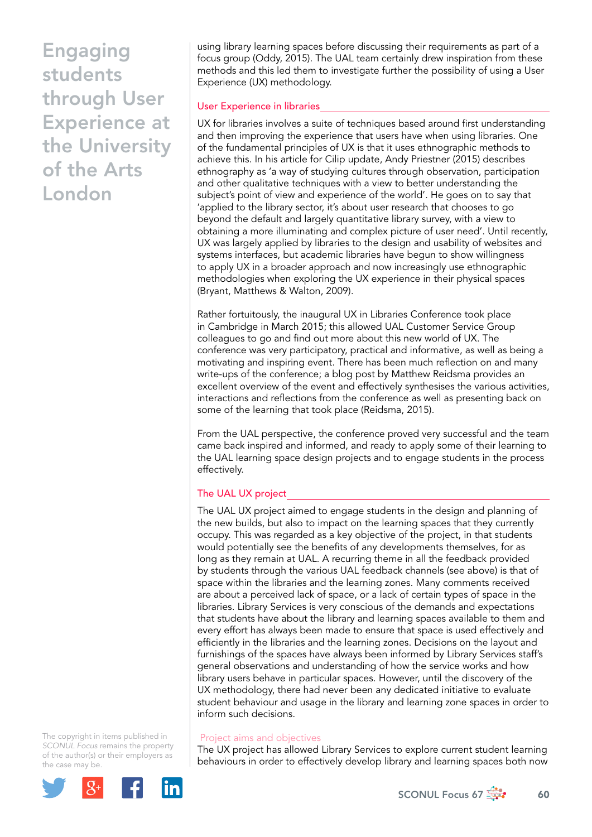using library learning spaces before discussing their requirements as part of a focus group (Oddy, 2015). The UAL team certainly drew inspiration from these methods and this led them to investigate further the possibility of using a User Experience (UX) methodology.

# User Experience in libraries

UX for libraries involves a suite of techniques based around first understanding and then improving the experience that users have when using libraries. One of the fundamental principles of UX is that it uses ethnographic methods to achieve this. In his article for Cilip update, Andy Priestner (2015) describes ethnography as 'a way of studying cultures through observation, participation and other qualitative techniques with a view to better understanding the subject's point of view and experience of the world'. He goes on to say that 'applied to the library sector, it's about user research that chooses to go beyond the default and largely quantitative library survey, with a view to obtaining a more illuminating and complex picture of user need'. Until recently, UX was largely applied by libraries to the design and usability of websites and systems interfaces, but academic libraries have begun to show willingness to apply UX in a broader approach and now increasingly use ethnographic methodologies when exploring the UX experience in their physical spaces (Bryant, Matthews & Walton, 2009).

Rather fortuitously, the inaugural UX in Libraries Conference took place in Cambridge in March 2015; this allowed UAL Customer Service Group colleagues to go and find out more about this new world of UX. The conference was very participatory, practical and informative, as well as being a motivating and inspiring event. There has been much reflection on and many write-ups of the conference; a blog post by Matthew Reidsma provides an excellent overview of the event and effectively synthesises the various activities, interactions and reflections from the conference as well as presenting back on some of the learning that took place (Reidsma, 2015).

From the UAL perspective, the conference proved very successful and the team came back inspired and informed, and ready to apply some of their learning to the UAL learning space design projects and to engage students in the process effectively.

# The UAL UX project

The UAL UX project aimed to engage students in the design and planning of the new builds, but also to impact on the learning spaces that they currently occupy. This was regarded as a key objective of the project, in that students would potentially see the benefits of any developments themselves, for as long as they remain at UAL. A recurring theme in all the feedback provided by students through the various UAL feedback channels (see above) is that of space within the libraries and the learning zones. Many comments received are about a perceived lack of space, or a lack of certain types of space in the libraries. Library Services is very conscious of the demands and expectations that students have about the library and learning spaces available to them and every effort has always been made to ensure that space is used effectively and efficiently in the libraries and the learning zones. Decisions on the layout and furnishings of the spaces have always been informed by Library Services staff's general observations and understanding of how the service works and how library users behave in particular spaces. However, until the discovery of the UX methodology, there had never been any dedicated initiative to evaluate student behaviour and usage in the library and learning zone spaces in order to inform such decisions.

The copyright in items published in *SCONUL Focus* remains the property of the author(s) or their employers as the case may be.



## Project aims and objectives

The UX project has allowed Library Services to explore current student learning behaviours in order to effectively develop library and learning spaces both now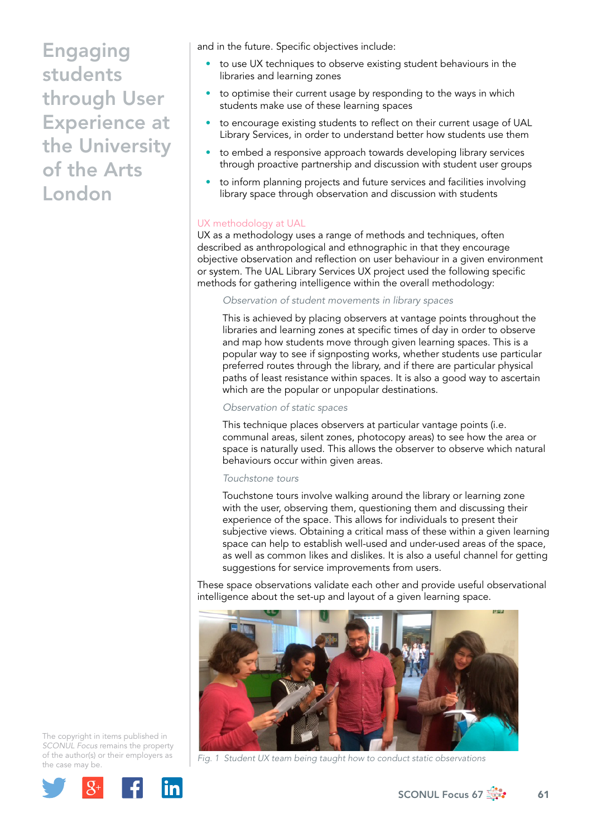and in the future. Specific objectives include:

- to use UX techniques to observe existing student behaviours in the libraries and learning zones
- to optimise their current usage by responding to the ways in which students make use of these learning spaces
- to encourage existing students to reflect on their current usage of UAL Library Services, in order to understand better how students use them
- to embed a responsive approach towards developing library services through proactive partnership and discussion with student user groups
- to inform planning projects and future services and facilities involving library space through observation and discussion with students

# UX methodology at UAL

UX as a methodology uses a range of methods and techniques, often described as anthropological and ethnographic in that they encourage objective observation and reflection on user behaviour in a given environment or system. The UAL Library Services UX project used the following specific methods for gathering intelligence within the overall methodology:

#### *Observation of student movements in library spaces*

This is achieved by placing observers at vantage points throughout the libraries and learning zones at specific times of day in order to observe and map how students move through given learning spaces. This is a popular way to see if signposting works, whether students use particular preferred routes through the library, and if there are particular physical paths of least resistance within spaces. It is also a good way to ascertain which are the popular or unpopular destinations.

#### *Observation of static spaces*

This technique places observers at particular vantage points (i.e. communal areas, silent zones, photocopy areas) to see how the area or space is naturally used. This allows the observer to observe which natural behaviours occur within given areas.

#### *Touchstone tours*

Touchstone tours involve walking around the library or learning zone with the user, observing them, questioning them and discussing their experience of the space. This allows for individuals to present their subjective views. Obtaining a critical mass of these within a given learning space can help to establish well-used and under-used areas of the space, as well as common likes and dislikes. It is also a useful channel for getting suggestions for service improvements from users.

These space observations validate each other and provide useful observational intelligence about the set-up and layout of a given learning space.



*Fig. 1 Student UX team being taught how to conduct static observations* 

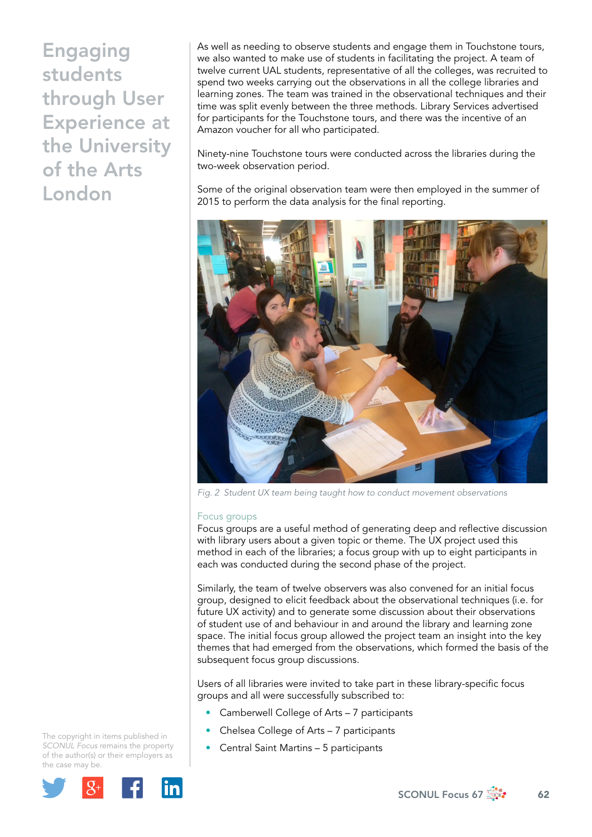As well as needing to observe students and engage them in Touchstone tours, we also wanted to make use of students in facilitating the project. A team of twelve current UAL students, representative of all the colleges, was recruited to spend two weeks carrying out the observations in all the college libraries and learning zones. The team was trained in the observational techniques and their time was split evenly between the three methods. Library Services advertised for participants for the Touchstone tours, and there was the incentive of an Amazon voucher for all who participated.

Ninety-nine Touchstone tours were conducted across the libraries during the two-week observation period.

Some of the original observation team were then employed in the summer of 2015 to perform the data analysis for the final reporting.



*Fig. 2 Student UX team being taught how to conduct movement observations* 

#### Focus groups

Focus groups are a useful method of generating deep and reflective discussion with library users about a given topic or theme. The UX project used this method in each of the libraries; a focus group with up to eight participants in each was conducted during the second phase of the project.

Similarly, the team of twelve observers was also convened for an initial focus group, designed to elicit feedback about the observational techniques (i.e. for future UX activity) and to generate some discussion about their observations of student use of and behaviour in and around the library and learning zone space. The initial focus group allowed the project team an insight into the key themes that had emerged from the observations, which formed the basis of the subsequent focus group discussions.

Users of all libraries were invited to take part in these library-specific focus groups and all were successfully subscribed to:

- Camberwell College of Arts 7 participants
- Chelsea College of Arts 7 participants
- Central Saint Martins 5 participants

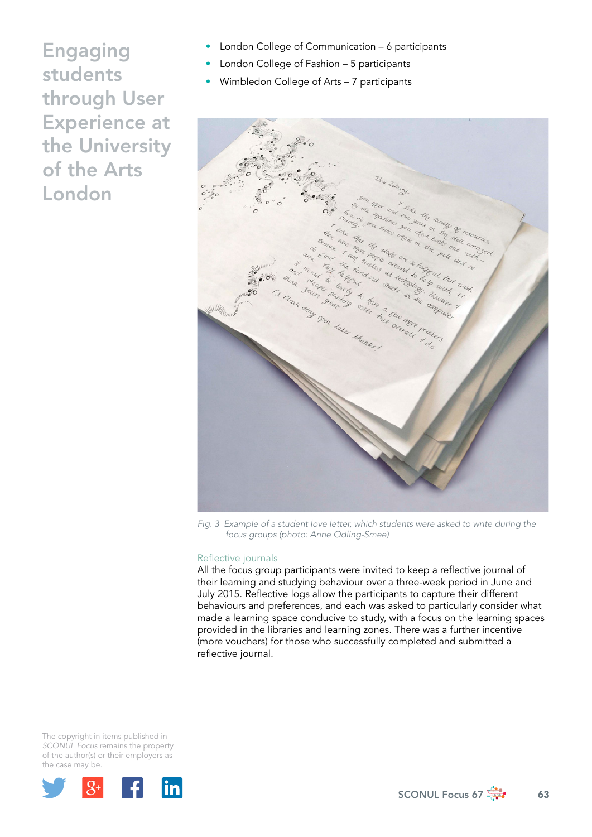- London College of Communication 6 participants
- London College of Fashion 5 participants
- Wimbledon College of Arts 7 participants



*Fig. 3 Example of a student love letter, which students were asked to write during the focus groups (photo: Anne Odling-Smee)* 

## Reflective journals

All the focus group participants were invited to keep a reflective journal of their learning and studying behaviour over a three-week period in June and July 2015. Reflective logs allow the participants to capture their different behaviours and preferences, and each was asked to particularly consider what made a learning space conducive to study, with a focus on the learning spaces provided in the libraries and learning zones. There was a further incentive (more vouchers) for those who successfully completed and submitted a reflective journal.

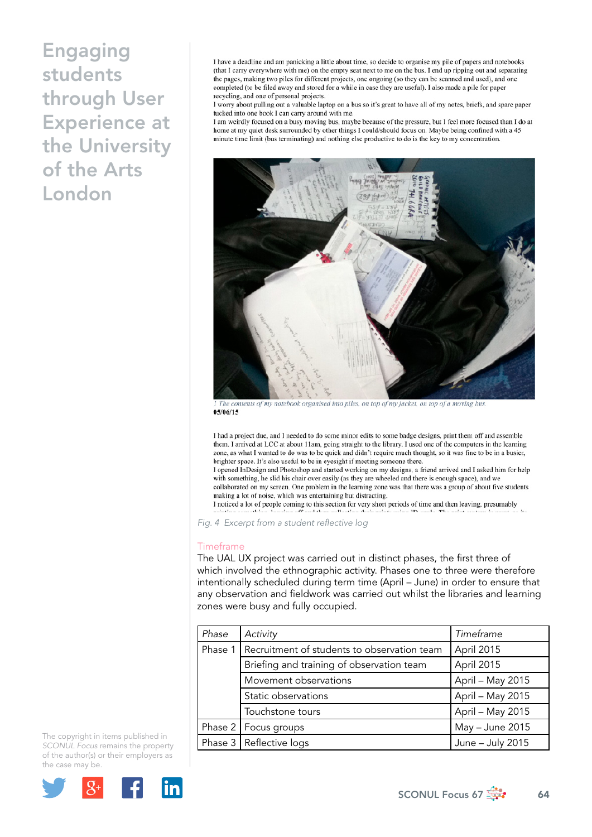I have a deadline and am panicking a little about time, so decide to organise my pile of papers and notebooks (that I carry everywhere with me) on the empty seat next to me on the bus. I end up ripping out and separating the pages, making two piles for different projects, one ongoing (so they can be scanned and used), and one completed (to be filed away and stored for a while in case they are useful). I also made a pile for paper recycling, and one of personal projects.

I worry about pulling out a valuable laptop on a bus so it's great to have all of my notes, briefs, and spare paper tucked into one book I can carry around with me.

I am weirdly focused on a busy moving bus, maybe because of the pressure, but I feel more focused than I do at home at my quiet desk surrounded by other things I could/should focus on. Maybe being confined with a 45 minute time limit (bus terminating) and nothing else productive to do is the key to my concentration.



The contents of my notebook organised into piles, on top of my jacket, on top of a moving bus  $05/06/15$ 

I had a project due, and I needed to do some minor edits to some badge designs, print them off and assemble them. I arrived at LCC at about 11am, going straight to the library. I used one of the computers in the learning zone, as what I wanted to do was to be quick and didn't require much thought, so it was fine to be in a busier, brighter space. It's also useful to be in eyesight if meeting someone there.

I opened InDesign and Photoshop and started working on my designs, a friend arrived and I asked him for help with something, he slid his chair over easily (as they are wheeled and there is enough space), and we collaborated on my screen. One problem in the learning zone was that there was a group of about five students making a lot of noise, which was entertaining but distracting.

I noticed a lot of people coming to this section for very short periods of time and then leaving, presumably<br>I noticed a lot of people coming to this section for very short periods of time and then leaving, presumably

*Fig. 4 Excerpt from a student reflective log* 

#### Timeframe

The UAL UX project was carried out in distinct phases, the first three of which involved the ethnographic activity. Phases one to three were therefore intentionally scheduled during term time (April – June) in order to ensure that any observation and fieldwork was carried out whilst the libraries and learning zones were busy and fully occupied.

| Phase   | Activity                                    | Timeframe        |
|---------|---------------------------------------------|------------------|
| Phase 1 | Recruitment of students to observation team | April 2015       |
|         | Briefing and training of observation team   | April 2015       |
|         | Movement observations                       | April - May 2015 |
|         | Static observations                         | April - May 2015 |
|         | Touchstone tours                            | April - May 2015 |
|         | Phase 2   Focus groups                      | May - June 2015  |
|         | Phase 3   Reflective logs                   | June - July 2015 |

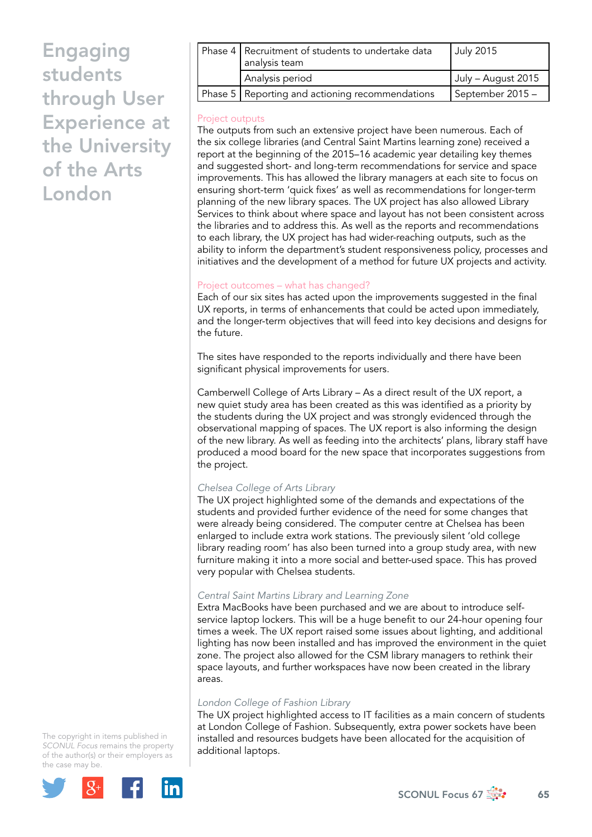| Phase 4   Recruitment of students to undertake data<br>analysis team | <b>July 2015</b>   |
|----------------------------------------------------------------------|--------------------|
| Analysis period                                                      | July – August 2015 |
| Phase 5   Reporting and actioning recommendations                    | September 2015 -   |
|                                                                      |                    |

## Project outputs

The outputs from such an extensive project have been numerous. Each of the six college libraries (and Central Saint Martins learning zone) received a report at the beginning of the 2015–16 academic year detailing key themes and suggested short- and long-term recommendations for service and space improvements. This has allowed the library managers at each site to focus on ensuring short-term 'quick fixes' as well as recommendations for longer-term planning of the new library spaces. The UX project has also allowed Library Services to think about where space and layout has not been consistent across the libraries and to address this. As well as the reports and recommendations to each library, the UX project has had wider-reaching outputs, such as the ability to inform the department's student responsiveness policy, processes and initiatives and the development of a method for future UX projects and activity.

## Project outcomes – what has changed?

Each of our six sites has acted upon the improvements suggested in the final UX reports, in terms of enhancements that could be acted upon immediately, and the longer-term objectives that will feed into key decisions and designs for the future.

The sites have responded to the reports individually and there have been significant physical improvements for users.

Camberwell College of Arts Library – As a direct result of the UX report, a new quiet study area has been created as this was identified as a priority by the students during the UX project and was strongly evidenced through the observational mapping of spaces. The UX report is also informing the design of the new library. As well as feeding into the architects' plans, library staff have produced a mood board for the new space that incorporates suggestions from the project.

## *Chelsea College of Arts Library*

The UX project highlighted some of the demands and expectations of the students and provided further evidence of the need for some changes that were already being considered. The computer centre at Chelsea has been enlarged to include extra work stations. The previously silent 'old college library reading room' has also been turned into a group study area, with new furniture making it into a more social and better-used space. This has proved very popular with Chelsea students.

#### *Central Saint Martins Library and Learning Zone*

Extra MacBooks have been purchased and we are about to introduce selfservice laptop lockers. This will be a huge benefit to our 24-hour opening four times a week. The UX report raised some issues about lighting, and additional lighting has now been installed and has improved the environment in the quiet zone. The project also allowed for the CSM library managers to rethink their space layouts, and further workspaces have now been created in the library areas.

#### *London College of Fashion Library*

The UX project highlighted access to IT facilities as a main concern of students at London College of Fashion. Subsequently, extra power sockets have been installed and resources budgets have been allocated for the acquisition of additional laptops.

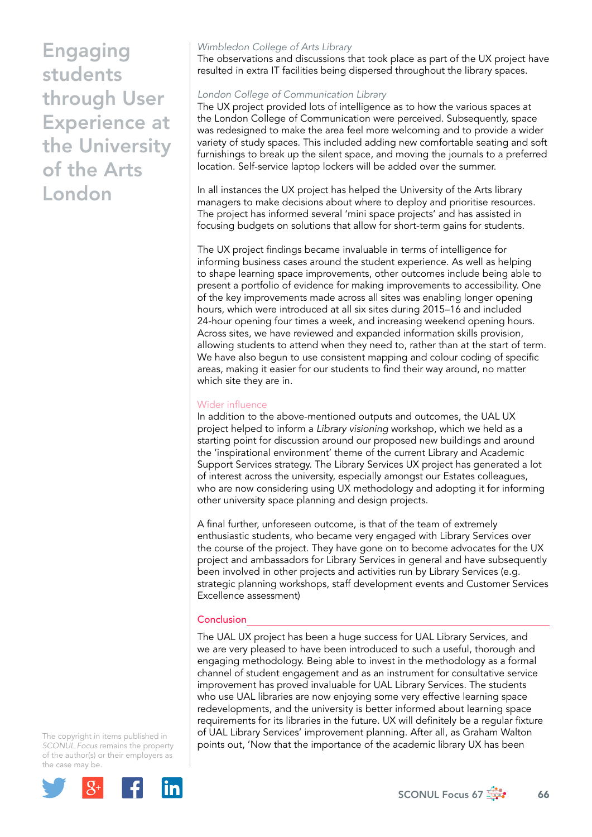# *Wimbledon College of Arts Library*

The observations and discussions that took place as part of the UX project have resulted in extra IT facilities being dispersed throughout the library spaces.

### *London College of Communication Library*

The UX project provided lots of intelligence as to how the various spaces at the London College of Communication were perceived. Subsequently, space was redesigned to make the area feel more welcoming and to provide a wider variety of study spaces. This included adding new comfortable seating and soft furnishings to break up the silent space, and moving the journals to a preferred location. Self-service laptop lockers will be added over the summer.

In all instances the UX project has helped the University of the Arts library managers to make decisions about where to deploy and prioritise resources. The project has informed several 'mini space projects' and has assisted in focusing budgets on solutions that allow for short-term gains for students.

The UX project findings became invaluable in terms of intelligence for informing business cases around the student experience. As well as helping to shape learning space improvements, other outcomes include being able to present a portfolio of evidence for making improvements to accessibility. One of the key improvements made across all sites was enabling longer opening hours, which were introduced at all six sites during 2015–16 and included 24-hour opening four times a week, and increasing weekend opening hours. Across sites, we have reviewed and expanded information skills provision, allowing students to attend when they need to, rather than at the start of term. We have also begun to use consistent mapping and colour coding of specific areas, making it easier for our students to find their way around, no matter which site they are in.

### Wider influence

In addition to the above-mentioned outputs and outcomes, the UAL UX project helped to inform a *Library visioning* workshop, which we held as a starting point for discussion around our proposed new buildings and around the 'inspirational environment' theme of the current Library and Academic Support Services strategy. The Library Services UX project has generated a lot of interest across the university, especially amongst our Estates colleagues, who are now considering using UX methodology and adopting it for informing other university space planning and design projects.

A final further, unforeseen outcome, is that of the team of extremely enthusiastic students, who became very engaged with Library Services over the course of the project. They have gone on to become advocates for the UX project and ambassadors for Library Services in general and have subsequently been involved in other projects and activities run by Library Services (e.g. strategic planning workshops, staff development events and Customer Services Excellence assessment)

## **Conclusion**

The UAL UX project has been a huge success for UAL Library Services, and we are very pleased to have been introduced to such a useful, thorough and engaging methodology. Being able to invest in the methodology as a formal channel of student engagement and as an instrument for consultative service improvement has proved invaluable for UAL Library Services. The students who use UAL libraries are now enjoying some very effective learning space redevelopments, and the university is better informed about learning space requirements for its libraries in the future. UX will definitely be a regular fixture of UAL Library Services' improvement planning. After all, as Graham Walton points out, 'Now that the importance of the academic library UX has been